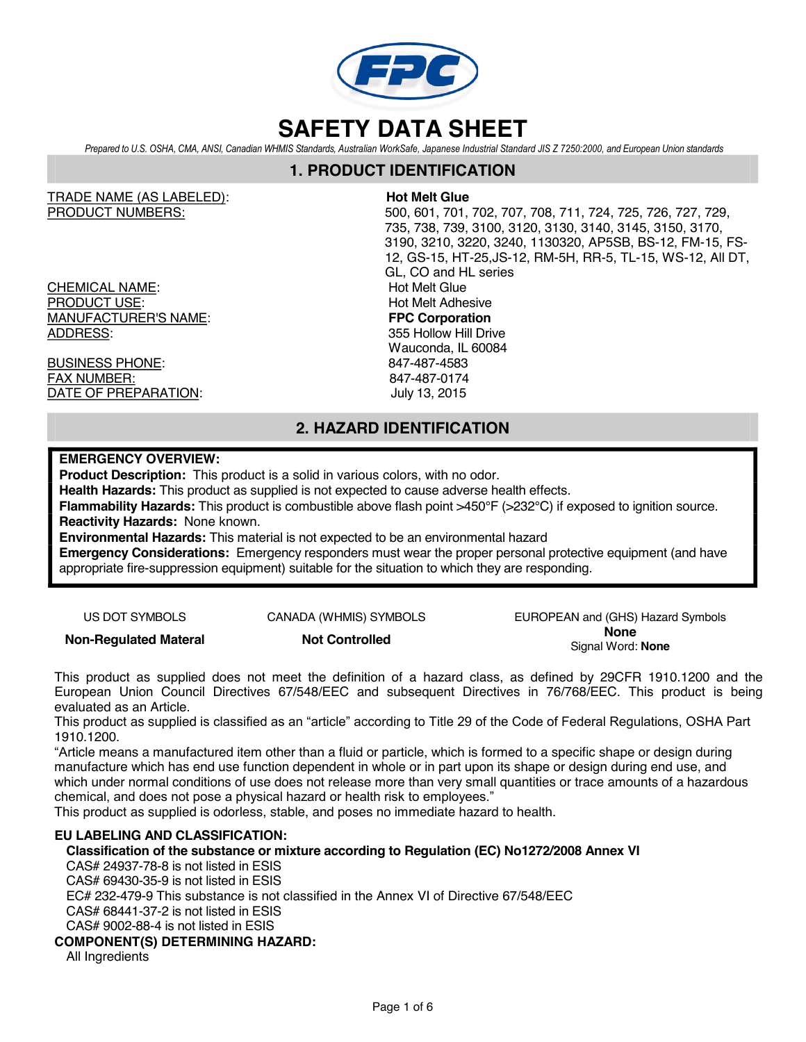

Prepared to U.S. OSHA, CMA, ANSI, Canadian WHMIS Standards, Australian WorkSafe, Japanese Industrial Standard JIS Z 7250:2000, and European Union standards

### **1. PRODUCT IDENTIFICATION**

TRADE NAME (AS LABELED): **Hot Melt Glue**

CHEMICAL NAME: Hot Melt Glue PRODUCT USE:<br>
MANUFACTURER'S NAME:<br>
MANUFACTURER'S NAME: **MANUFACTURER'S NAME:** ADDRESS: 355 Hollow Hill Drive

BUSINESS PHONE: 847-487-4583 FAX NUMBER: 847-487-0174 DATE OF PREPARATION: July 13, 2015

PRODUCT NUMBERS: 500, 601, 701, 702, 707, 708, 711, 724, 725, 726, 727, 729, 735, 738, 739, 3100, 3120, 3130, 3140, 3145, 3150, 3170, 3190, 3210, 3220, 3240, 1130320, AP5SB, BS-12, FM-15, FS-12, GS-15, HT-25,JS-12, RM-5H, RR-5, TL-15, WS-12, All DT, GL, CO and HL series Wauconda, IL 60084

# **2. HAZARD IDENTIFICATION**

### **EMERGENCY OVERVIEW:**

**Product Description:** This product is a solid in various colors, with no odor.

**Health Hazards:** This product as supplied is not expected to cause adverse health effects.

**Flammability Hazards:** This product is combustible above flash point >450°F (>232°C) if exposed to ignition source. **Reactivity Hazards:** None known.

**Environmental Hazards:** This material is not expected to be an environmental hazard

**Emergency Considerations:** Emergency responders must wear the proper personal protective equipment (and have appropriate fire-suppression equipment) suitable for the situation to which they are responding.

US DOT SYMBOLS CANADA (WHMIS) SYMBOLS EUROPEAN and (GHS) Hazard Symbols **Non-Regulated Materal Not Controlled None** Signal Word: **None**

This product as supplied does not meet the definition of a hazard class, as defined by 29CFR 1910.1200 and the European Union Council Directives 67/548/EEC and subsequent Directives in 76/768/EEC. This product is being evaluated as an Article.

This product as supplied is classified as an "article" according to Title 29 of the Code of Federal Regulations, OSHA Part 1910.1200.

"Article means a manufactured item other than a fluid or particle, which is formed to a specific shape or design during manufacture which has end use function dependent in whole or in part upon its shape or design during end use, and which under normal conditions of use does not release more than very small quantities or trace amounts of a hazardous chemical, and does not pose a physical hazard or health risk to employees."

This product as supplied is odorless, stable, and poses no immediate hazard to health.

#### **EU LABELING AND CLASSIFICATION:**

**Classification of the substance or mixture according to Regulation (EC) No1272/2008 Annex VI**

CAS# 24937-78-8 is not listed in ESIS

CAS# 69430-35-9 is not listed in ESIS

EC# 232-479-9 This substance is not classified in the Annex VI of Directive 67/548/EEC

CAS# 68441-37-2 is not listed in ESIS

CAS# 9002-88-4 is not listed in ESIS

#### **COMPONENT(S) DETERMINING HAZARD:**

All Ingredients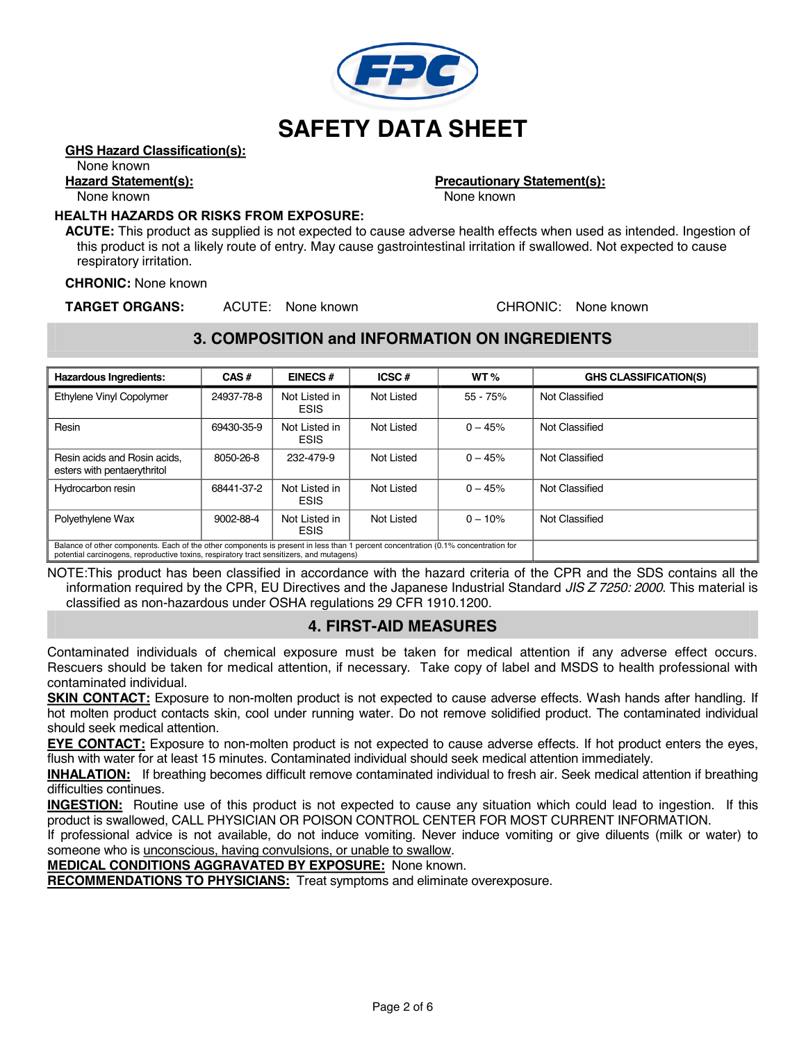

#### **GHS Hazard Classification(s):**

#### None known

# **Hazard Statement(s):**<br> **Precautionary Statement(s):**<br> **Precautionary Statement(s):**<br> **Precautionary Statement(s):**

None known

#### **HEALTH HAZARDS OR RISKS FROM EXPOSURE:**

**ACUTE:** This product as supplied is not expected to cause adverse health effects when used as intended. Ingestion of this product is not a likely route of entry. May cause gastrointestinal irritation if swallowed. Not expected to cause respiratory irritation.

**CHRONIC:** None known

**TARGET ORGANS:** ACUTE: None known CHRONIC: None known

## **3. COMPOSITION and INFORMATION ON INGREDIENTS**

| <b>Hazardous Ingredients:</b>                                                                                                                                                                                                 | CAS#       | <b>EINECS#</b>               | ICSC#      | WT <sub>%</sub> | <b>GHS CLASSIFICATION(S)</b> |
|-------------------------------------------------------------------------------------------------------------------------------------------------------------------------------------------------------------------------------|------------|------------------------------|------------|-----------------|------------------------------|
| Ethylene Vinyl Copolymer                                                                                                                                                                                                      | 24937-78-8 | Not Listed in<br><b>ESIS</b> | Not Listed | $55 - 75%$      | Not Classified               |
| Resin                                                                                                                                                                                                                         | 69430-35-9 | Not Listed in<br><b>ESIS</b> | Not Listed | $0 - 45%$       | Not Classified               |
| Resin acids and Rosin acids.<br>esters with pentaerythritol                                                                                                                                                                   | 8050-26-8  | 232-479-9                    | Not Listed | $0 - 45%$       | Not Classified               |
| Hydrocarbon resin                                                                                                                                                                                                             | 68441-37-2 | Not Listed in<br><b>ESIS</b> | Not Listed | $0 - 45%$       | Not Classified               |
| Polyethylene Wax                                                                                                                                                                                                              | 9002-88-4  | Not Listed in<br><b>ESIS</b> | Not Listed | $0 - 10%$       | Not Classified               |
| Balance of other components. Each of the other components is present in less than 1 percent concentration (0.1% concentration for<br>potential carcinogens, reproductive toxins, respiratory tract sensitizers, and mutagens) |            |                              |            |                 |                              |

NOTE:This product has been classified in accordance with the hazard criteria of the CPR and the SDS contains all the information required by the CPR, EU Directives and the Japanese Industrial Standard *JIS Z 7250: 2000*. This material is classified as non-hazardous under OSHA regulations 29 CFR 1910.1200.

# **4. FIRST-AID MEASURES**

Contaminated individuals of chemical exposure must be taken for medical attention if any adverse effect occurs. Rescuers should be taken for medical attention, if necessary. Take copy of label and MSDS to health professional with contaminated individual.

**SKIN CONTACT:** Exposure to non-molten product is not expected to cause adverse effects. Wash hands after handling. If hot molten product contacts skin, cool under running water. Do not remove solidified product. The contaminated individual should seek medical attention.

**EYE CONTACT:** Exposure to non-molten product is not expected to cause adverse effects. If hot product enters the eyes, flush with water for at least 15 minutes. Contaminated individual should seek medical attention immediately.

**INHALATION:** If breathing becomes difficult remove contaminated individual to fresh air. Seek medical attention if breathing difficulties continues.

**INGESTION:** Routine use of this product is not expected to cause any situation which could lead to ingestion. If this product is swallowed, CALL PHYSICIAN OR POISON CONTROL CENTER FOR MOST CURRENT INFORMATION.

If professional advice is not available, do not induce vomiting. Never induce vomiting or give diluents (milk or water) to someone who is *unconscious, having convulsions, or unable to swallow.* 

**MEDICAL CONDITIONS AGGRAVATED BY EXPOSURE:** None known.

**RECOMMENDATIONS TO PHYSICIANS:** Treat symptoms and eliminate overexposure.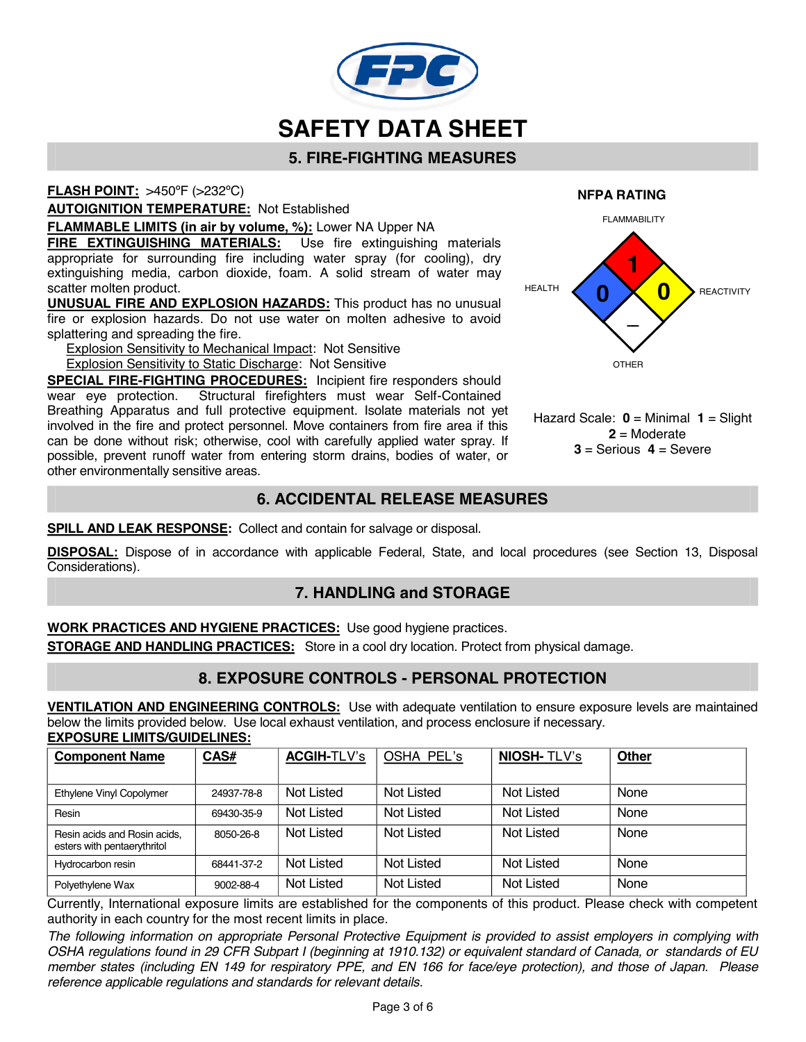

# **5. FIRE-FIGHTING MEASURES**

**FLASH POINT:** >450ºF (>232ºC)

**AUTOIGNITION TEMPERATURE:** Not Established

**FLAMMABLE LIMITS (in air by volume, %):** Lower NA Upper NA

**FIRE EXTINGUISHING MATERIALS:** Use fire extinguishing materials appropriate for surrounding fire including water spray (for cooling), dry extinguishing media, carbon dioxide, foam. A solid stream of water may scatter molten product.

**UNUSUAL FIRE AND EXPLOSION HAZARDS:** This product has no unusual fire or explosion hazards. Do not use water on molten adhesive to avoid splattering and spreading the fire.

Explosion Sensitivity to Mechanical Impact: Not Sensitive Explosion Sensitivity to Static Discharge: Not Sensitive

**SPECIAL FIRE-FIGHTING PROCEDURES:** Incipient fire responders should wear eye protection. Structural firefighters must wear Self-Contained Breathing Apparatus and full protective equipment. Isolate materials not yet involved in the fire and protect personnel. Move containers from fire area if this can be done without risk; otherwise, cool with carefully applied water spray. If possible, prevent runoff water from entering storm drains, bodies of water, or other environmentally sensitive areas.

# **6. ACCIDENTAL RELEASE MEASURES**

**SPILL AND LEAK RESPONSE:** Collect and contain for salvage or disposal.

**DISPOSAL:** Dispose of in accordance with applicable Federal, State, and local procedures (see Section 13, Disposal Considerations).

# **7. HANDLING and STORAGE**

**WORK PRACTICES AND HYGIENE PRACTICES:** Use good hygiene practices.

**STORAGE AND HANDLING PRACTICES:** Store in a cool dry location. Protect from physical damage.

# **8. EXPOSURE CONTROLS - PERSONAL PROTECTION**

**VENTILATION AND ENGINEERING CONTROLS:** Use with adequate ventilation to ensure exposure levels are maintained below the limits provided below. Use local exhaust ventilation, and process enclosure if necessary. **EXPOSURE LIMITS/GUIDELINES:**

| <b>Component Name</b>                                       | CAS#       | <b>ACGIH-TLV's</b> | OSHA PEL's        | <b>NIOSH-TLV's</b> | Other |
|-------------------------------------------------------------|------------|--------------------|-------------------|--------------------|-------|
|                                                             |            |                    |                   |                    |       |
| Ethylene Vinyl Copolymer                                    | 24937-78-8 | Not Listed         | <b>Not Listed</b> | Not Listed         | None  |
| Resin                                                       | 69430-35-9 | Not Listed         | <b>Not Listed</b> | <b>Not Listed</b>  | None  |
| Resin acids and Rosin acids,<br>esters with pentaerythritol | 8050-26-8  | Not Listed         | <b>Not Listed</b> | Not Listed         | None  |
| Hydrocarbon resin                                           | 68441-37-2 | <b>Not Listed</b>  | <b>Not Listed</b> | Not Listed         | None  |
| Polyethylene Wax                                            | 9002-88-4  | <b>Not Listed</b>  | <b>Not Listed</b> | Not Listed         | None  |

Currently, International exposure limits are established for the components of this product. Please check with competent authority in each country for the most recent limits in place.

The following information on appropriate Personal Protective Equipment is provided to assist employers in complying with OSHA regulations found in 29 CFR Subpart I (beginning at 1910.132) or equivalent standard of Canada, or standards of EU member states (including EN 149 for respiratory PPE, and EN 166 for face/eye protection), and those of Japan. Please *reference applicable regulations and standards for relevant details.*

**NFPA RATING**



Hazard Scale: **0** = Minimal **1** = Slight **2** = Moderate **3** = Serious **4** = Severe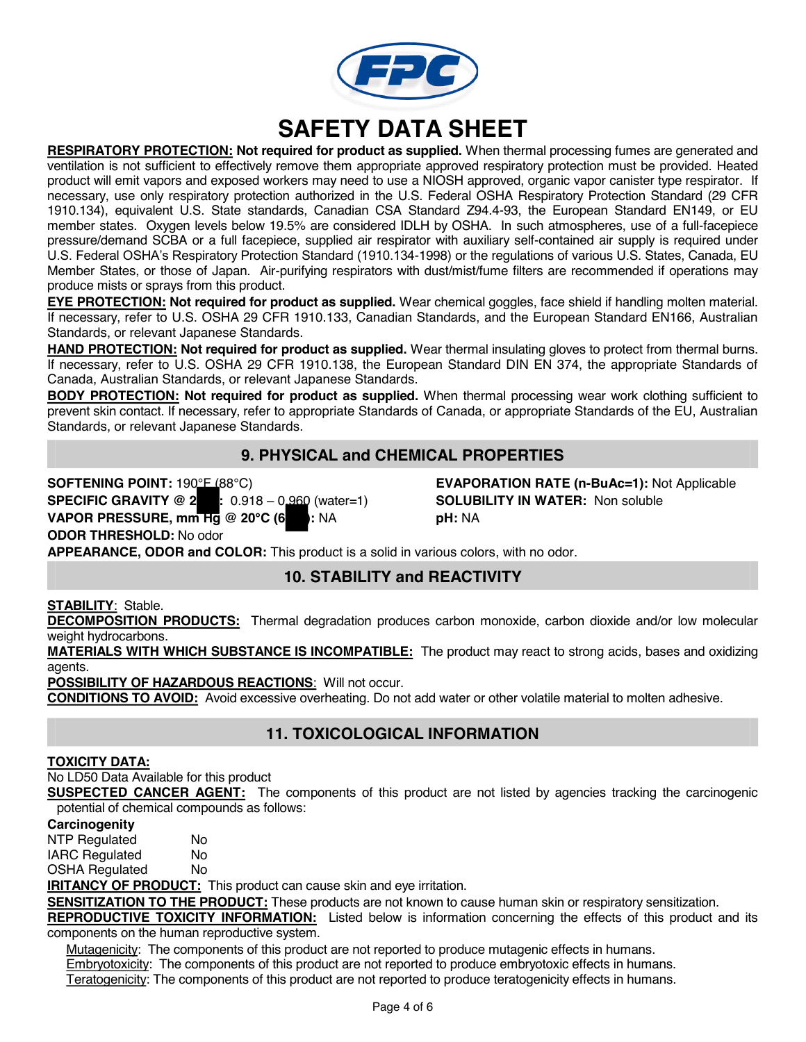

**RESPIRATORY PROTECTION: Not required for product as supplied.** When thermal processing fumes are generated and ventilation is not sufficient to effectively remove them appropriate approved respiratory protection must be provided. Heated product will emit vapors and exposed workers may need to use a NIOSH approved, organic vapor canister type respirator. If necessary, use only respiratory protection authorized in the U.S. Federal OSHA Respiratory Protection Standard (29 CFR 1910.134), equivalent U.S. State standards, Canadian CSA Standard Z94.4-93, the European Standard EN149, or EU member states. Oxygen levels below 19.5% are considered IDLH by OSHA. In such atmospheres, use of a full-facepiece pressure/demand SCBA or a full facepiece, supplied air respirator with auxiliary self-contained air supply is required under U.S. Federal OSHA's Respiratory Protection Standard (1910.134-1998) or the regulations of various U.S. States, Canada, EU Member States, or those of Japan. Air-purifying respirators with dust/mist/fume filters are recommended if operations may produce mists or sprays from this product.

**EYE PROTECTION: Not required for product as supplied.** Wear chemical goggles, face shield if handling molten material. If necessary, refer to U.S. OSHA 29 CFR 1910.133, Canadian Standards, and the European Standard EN166, Australian Standards, or relevant Japanese Standards.

**HAND PROTECTION: Not required for product as supplied.** Wear thermal insulating gloves to protect from thermal burns. If necessary, refer to U.S. OSHA 29 CFR 1910.138, the European Standard DIN EN 374, the appropriate Standards of Canada, Australian Standards, or relevant Japanese Standards.

**BODY PROTECTION: Not required for product as supplied.** When thermal processing wear work clothing sufficient to prevent skin contact. If necessary, refer to appropriate Standards of Canada, or appropriate Standards of the EU, Australian Standards, or relevant Japanese Standards.

# **9. PHYSICAL and CHEMICAL PROPERTIES**

**SOFTENING POINT:** 190°F (88°C) **EVAPORATION RATE (n-BuAc=1):** Not Applicable **SPECIFIC GRAVITY @ 20 C:** 0.918 – 0.960 (water=1) **SOLUBILITY IN WATER:** Non soluble **VAPOR PRESSURE, mm Hg @ 20°C (68 F):** NA **pH:** NA **ODOR THRESHOLD:** No odor

**APPEARANCE, ODOR and COLOR:** This product is a solid in various colors, with no odor.

# **10. STABILITY and REACTIVITY**

**STABILITY**: Stable.

**DECOMPOSITION PRODUCTS:** Thermal degradation produces carbon monoxide, carbon dioxide and/or low molecular weight hydrocarbons.

**MATERIALS WITH WHICH SUBSTANCE IS INCOMPATIBLE:** The product may react to strong acids, bases and oxidizing agents.

**POSSIBILITY OF HAZARDOUS REACTIONS**: Will not occur.

**CONDITIONS TO AVOID:** Avoid excessive overheating. Do not add water or other volatile material to molten adhesive.

# **11. TOXICOLOGICAL INFORMATION**

#### **TOXICITY DATA:**

No LD50 Data Available for this product

**SUSPECTED CANCER AGENT:** The components of this product are not listed by agencies tracking the carcinogenic potential of chemical compounds as follows:

#### **Carcinogenity**

NTP Regulated No IARC Regulated No OSHA Regulated No

**IRITANCY OF PRODUCT:** This product can cause skin and eye irritation.

**SENSITIZATION TO THE PRODUCT:** These products are not known to cause human skin or respiratory sensitization.

**REPRODUCTIVE TOXICITY INFORMATION:** Listed below is information concerning the effects of this product and its components on the human reproductive system.

Mutagenicity: The components of this product are not reported to produce mutagenic effects in humans. Embryotoxicity: The components of this product are not reported to produce embryotoxic effects in humans.

Teratogenicity: The components of this product are not reported to produce teratogenicity effects in humans.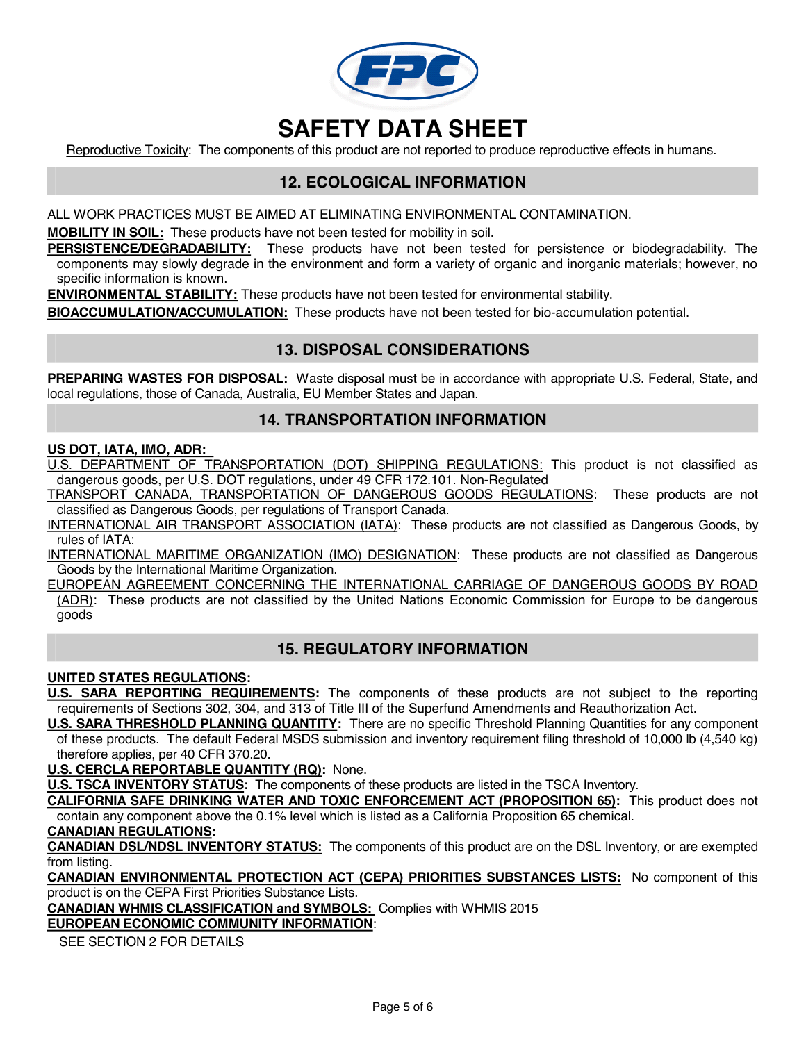

Reproductive Toxicity: The components of this product are not reported to produce reproductive effects in humans.

## **12. ECOLOGICAL INFORMATION**

ALL WORK PRACTICES MUST BE AIMED AT ELIMINATING ENVIRONMENTAL CONTAMINATION.

**MOBILITY IN SOIL:** These products have not been tested for mobility in soil.

**PERSISTENCE/DEGRADABILITY:** These products have not been tested for persistence or biodegradability. The components may slowly degrade in the environment and form a variety of organic and inorganic materials; however, no specific information is known.

**ENVIRONMENTAL STABILITY:** These products have not been tested for environmental stability.

**BIOACCUMULATION/ACCUMULATION:** These products have not been tested for bio-accumulation potential.

### **13. DISPOSAL CONSIDERATIONS**

**PREPARING WASTES FOR DISPOSAL:** Waste disposal must be in accordance with appropriate U.S. Federal, State, and local regulations, those of Canada, Australia, EU Member States and Japan.

### **14. TRANSPORTATION INFORMATION**

#### **US DOT, IATA, IMO, ADR:**

U.S. DEPARTMENT OF TRANSPORTATION (DOT) SHIPPING REGULATIONS: This product is not classified as dangerous goods, per U.S. DOT regulations, under 49 CFR 172.101. Non-Regulated

TRANSPORT CANADA, TRANSPORTATION OF DANGEROUS GOODS REGULATIONS: These products are not classified as Dangerous Goods, per regulations of Transport Canada.

INTERNATIONAL AIR TRANSPORT ASSOCIATION (IATA): These products are not classified as Dangerous Goods, by rules of IATA:

INTERNATIONAL MARITIME ORGANIZATION (IMO) DESIGNATION: These products are not classified as Dangerous Goods by the International Maritime Organization.

EUROPEAN AGREEMENT CONCERNING THE INTERNATIONAL CARRIAGE OF DANGEROUS GOODS BY ROAD (ADR): These products are not classified by the United Nations Economic Commission for Europe to be dangerous goods

### **15. REGULATORY INFORMATION**

#### **UNITED STATES REGULATIONS:**

**U.S. SARA REPORTING REQUIREMENTS:** The components of these products are not subject to the reporting requirements of Sections 302, 304, and 313 of Title III of the Superfund Amendments and Reauthorization Act.

**U.S. SARA THRESHOLD PLANNING QUANTITY:** There are no specific Threshold Planning Quantities for any component of these products. The default Federal MSDS submission and inventory requirement filing threshold of 10,000 lb (4,540 kg) therefore applies, per 40 CFR 370.20.

**U.S. CERCLA REPORTABLE QUANTITY (RQ):** None.

**U.S. TSCA INVENTORY STATUS:** The components of these products are listed in the TSCA Inventory.

**CALIFORNIA SAFE DRINKING WATER AND TOXIC ENFORCEMENT ACT (PROPOSITION 65):** This product does not contain any component above the 0.1% level which is listed as a California Proposition 65 chemical.

#### **CANADIAN REGULATIONS:**

**CANADIAN DSL/NDSL INVENTORY STATUS:** The components of this product are on the DSL Inventory, or are exempted from listing.

**CANADIAN ENVIRONMENTAL PROTECTION ACT (CEPA) PRIORITIES SUBSTANCES LISTS:** No component of this product is on the CEPA First Priorities Substance Lists.

**CANADIAN WHMIS CLASSIFICATION and SYMBOLS:** Complies with WHMIS 2015

#### **EUROPEAN ECONOMIC COMMUNITY INFORMATION**:

SEE SECTION 2 FOR DETAILS